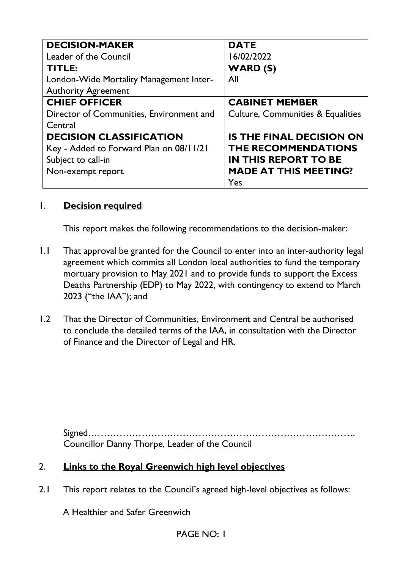| <b>DECISION-MAKER</b>                    | <b>DATE</b>                                  |
|------------------------------------------|----------------------------------------------|
| Leader of the Council                    | 16/02/2022                                   |
| TITLE:                                   | <b>WARD (S)</b>                              |
| London-Wide Mortality Management Inter-  | All                                          |
| <b>Authority Agreement</b>               |                                              |
| <b>CHIEF OFFICER</b>                     | <b>CABINET MEMBER</b>                        |
| Director of Communities, Environment and | <b>Culture, Communities &amp; Equalities</b> |
| Central                                  |                                              |
| <b>DECISION CLASSIFICATION</b>           | <b>IS THE FINAL DECISION ON</b>              |
| Key - Added to Forward Plan on 08/11/21  | <b>THE RECOMMENDATIONS</b>                   |
| Subject to call-in                       | <b>IN THIS REPORT TO BE</b>                  |
| Non-exempt report                        | <b>MADE AT THIS MEETING?</b>                 |
|                                          | Yes                                          |

## 1. **Decision required**

This report makes the following recommendations to the decision-maker:

- 1.1 That approval be granted for the Council to enter into an inter-authority legal agreement which commits all London local authorities to fund the temporary mortuary provision to May 2021 and to provide funds to support the Excess Deaths Partnership (EDP) to May 2022, with contingency to extend to March 2023 ("the IAA"); and
- 1.2 That the Director of Communities, Environment and Central be authorised to conclude the detailed terms of the IAA, in consultation with the Director of Finance and the Director of Legal and HR.

Signed…………………………………………………………………………. Councillor Danny Thorpe, Leader of the Council

### 2. **Links to the Royal Greenwich high level objectives**

2.1 This report relates to the Council's agreed high-level objectives as follows:

A Healthier and Safer Greenwich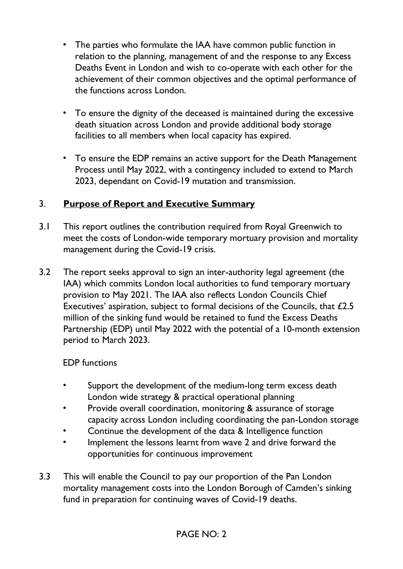- The parties who formulate the IAA have common public function in relation to the planning, management of and the response to any Excess Deaths Event in London and wish to co-operate with each other for the achievement of their common objectives and the optimal performance of the functions across London.
- To ensure the dignity of the deceased is maintained during the excessive death situation across London and provide additional body storage facilities to all members when local capacity has expired.
- To ensure the EDP remains an active support for the Death Management Process until May 2022, with a contingency included to extend to March 2023, dependant on Covid-19 mutation and transmission.

## 3. **Purpose of Report and Executive Summary**

- 3.1 This report outlines the contribution required from Royal Greenwich to meet the costs of London-wide temporary mortuary provision and mortality management during the Covid-19 crisis.
- 3.2 The report seeks approval to sign an inter-authority legal agreement (the IAA) which commits London local authorities to fund temporary mortuary provision to May 2021. The IAA also reflects London Councils Chief Executives' aspiration, subject to formal decisions of the Councils, that £2.5 million of the sinking fund would be retained to fund the Excess Deaths Partnership (EDP) until May 2022 with the potential of a 10-month extension period to March 2023.

## EDP functions

- Support the development of the medium-long term excess death London wide strategy & practical operational planning
- Provide overall coordination, monitoring & assurance of storage capacity across London including coordinating the pan-London storage
- Continue the development of the data & Intelligence function
- Implement the lessons learnt from wave 2 and drive forward the opportunities for continuous improvement
- 3.3 This will enable the Council to pay our proportion of the Pan London mortality management costs into the London Borough of Camden's sinking fund in preparation for continuing waves of Covid-19 deaths.

# PAGE NO: 2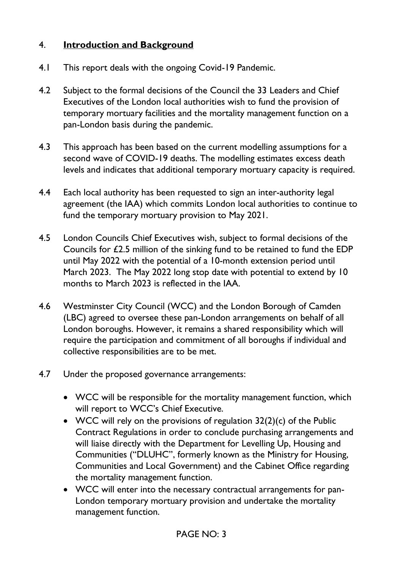## 4. **Introduction and Background**

- 4.1 This report deals with the ongoing Covid-19 Pandemic.
- 4.2 Subject to the formal decisions of the Council the 33 Leaders and Chief Executives of the London local authorities wish to fund the provision of temporary mortuary facilities and the mortality management function on a pan-London basis during the pandemic.
- 4.3 This approach has been based on the current modelling assumptions for a second wave of COVID-19 deaths. The modelling estimates excess death levels and indicates that additional temporary mortuary capacity is required.
- 4.4 Each local authority has been requested to sign an inter-authority legal agreement (the IAA) which commits London local authorities to continue to fund the temporary mortuary provision to May 2021.
- 4.5 London Councils Chief Executives wish, subject to formal decisions of the Councils for £2.5 million of the sinking fund to be retained to fund the EDP until May 2022 with the potential of a 10-month extension period until March 2023. The May 2022 long stop date with potential to extend by 10 months to March 2023 is reflected in the IAA.
- 4.6 Westminster City Council (WCC) and the London Borough of Camden (LBC) agreed to oversee these pan-London arrangements on behalf of all London boroughs. However, it remains a shared responsibility which will require the participation and commitment of all boroughs if individual and collective responsibilities are to be met.
- 4.7 Under the proposed governance arrangements:
	- WCC will be responsible for the mortality management function, which will report to WCC's Chief Executive.
	- WCC will rely on the provisions of regulation 32(2)(c) of the Public Contract Regulations in order to conclude purchasing arrangements and will liaise directly with the Department for Levelling Up, Housing and Communities ("DLUHC", formerly known as the Ministry for Housing, Communities and Local Government) and the Cabinet Office regarding the mortality management function.
	- WCC will enter into the necessary contractual arrangements for pan-London temporary mortuary provision and undertake the mortality management function.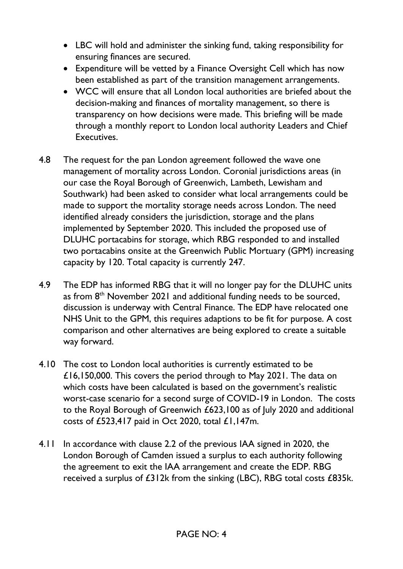- LBC will hold and administer the sinking fund, taking responsibility for ensuring finances are secured.
- Expenditure will be vetted by a Finance Oversight Cell which has now been established as part of the transition management arrangements.
- WCC will ensure that all London local authorities are briefed about the decision-making and finances of mortality management, so there is transparency on how decisions were made. This briefing will be made through a monthly report to London local authority Leaders and Chief Executives.
- 4.8 The request for the pan London agreement followed the wave one management of mortality across London. Coronial jurisdictions areas (in our case the Royal Borough of Greenwich, Lambeth, Lewisham and Southwark) had been asked to consider what local arrangements could be made to support the mortality storage needs across London. The need identified already considers the jurisdiction, storage and the plans implemented by September 2020. This included the proposed use of DLUHC portacabins for storage, which RBG responded to and installed two portacabins onsite at the Greenwich Public Mortuary (GPM) increasing capacity by 120. Total capacity is currently 247.
- 4.9 The EDP has informed RBG that it will no longer pay for the DLUHC units as from  $8<sup>th</sup>$  November 2021 and additional funding needs to be sourced, discussion is underway with Central Finance. The EDP have relocated one NHS Unit to the GPM, this requires adaptions to be fit for purpose. A cost comparison and other alternatives are being explored to create a suitable way forward.
- 4.10 The cost to London local authorities is currently estimated to be £16,150,000. This covers the period through to May 2021. The data on which costs have been calculated is based on the government's realistic worst-case scenario for a second surge of COVID-19 in London. The costs to the Royal Borough of Greenwich £623,100 as of July 2020 and additional costs of £523,417 paid in Oct 2020, total £1,147m.
- 4.11 In accordance with clause 2.2 of the previous IAA signed in 2020, the London Borough of Camden issued a surplus to each authority following the agreement to exit the IAA arrangement and create the EDP. RBG received a surplus of £312k from the sinking (LBC), RBG total costs £835k.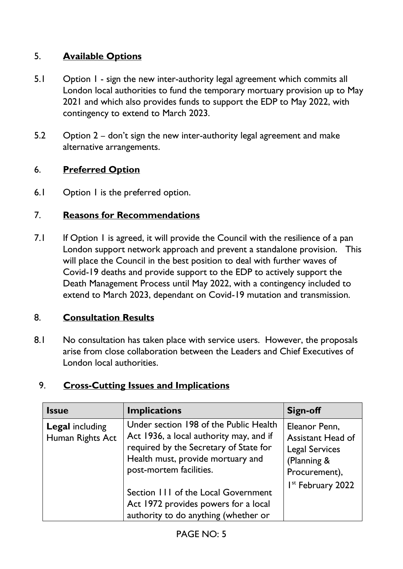# 5. **Available Options**

- 5.1 Option 1 sign the new inter-authority legal agreement which commits all London local authorities to fund the temporary mortuary provision up to May 2021 and which also provides funds to support the EDP to May 2022, with contingency to extend to March 2023.
- 5.2 Option 2 don't sign the new inter-authority legal agreement and make alternative arrangements.

## 6. **Preferred Option**

6.1 Option I is the preferred option.

### 7. **Reasons for Recommendations**

7.1 If Option 1 is agreed, it will provide the Council with the resilience of a pan London support network approach and prevent a standalone provision. This will place the Council in the best position to deal with further waves of Covid-19 deaths and provide support to the EDP to actively support the Death Management Process until May 2022, with a contingency included to extend to March 2023, dependant on Covid-19 mutation and transmission.

### 8. **Consultation Results**

8.1 No consultation has taken place with service users. However, the proposals arise from close collaboration between the Leaders and Chief Executives of London local authorities.

### 9. **Cross-Cutting Issues and Implications**

| <b>Issue</b>                               | <b>Implications</b>                                                                                                                                                                         | Sign-off                                                                                           |
|--------------------------------------------|---------------------------------------------------------------------------------------------------------------------------------------------------------------------------------------------|----------------------------------------------------------------------------------------------------|
| <b>Legal including</b><br>Human Rights Act | Under section 198 of the Public Health<br>Act 1936, a local authority may, and if<br>required by the Secretary of State for<br>Health must, provide mortuary and<br>post-mortem facilities. | Eleanor Penn,<br><b>Assistant Head of</b><br><b>Legal Services</b><br>(Planning &<br>Procurement), |
|                                            | Section 111 of the Local Government<br>Act 1972 provides powers for a local<br>authority to do anything (whether or                                                                         | I <sup>st</sup> February 2022                                                                      |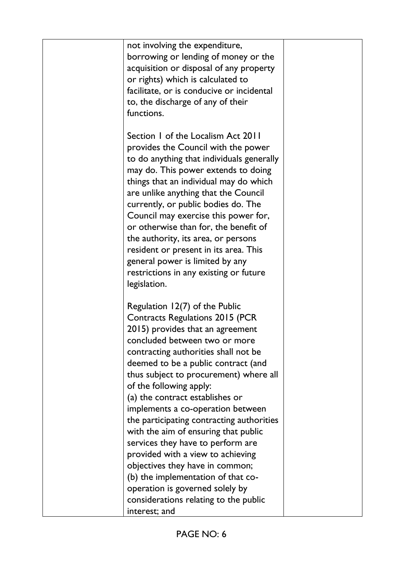| not involving the expenditure,<br>borrowing or lending of money or the<br>acquisition or disposal of any property<br>or rights) which is calculated to<br>facilitate, or is conducive or incidental<br>to, the discharge of any of their<br>functions.                                                                                                                                                                                                                                                                                                                                                                                                                                 |  |
|----------------------------------------------------------------------------------------------------------------------------------------------------------------------------------------------------------------------------------------------------------------------------------------------------------------------------------------------------------------------------------------------------------------------------------------------------------------------------------------------------------------------------------------------------------------------------------------------------------------------------------------------------------------------------------------|--|
| Section 1 of the Localism Act 2011<br>provides the Council with the power<br>to do anything that individuals generally<br>may do. This power extends to doing<br>things that an individual may do which<br>are unlike anything that the Council<br>currently, or public bodies do. The<br>Council may exercise this power for,<br>or otherwise than for, the benefit of<br>the authority, its area, or persons<br>resident or present in its area. This<br>general power is limited by any<br>restrictions in any existing or future<br>legislation.                                                                                                                                   |  |
| Regulation 12(7) of the Public<br>Contracts Regulations 2015 (PCR<br>2015) provides that an agreement<br>concluded between two or more<br>contracting authorities shall not be<br>deemed to be a public contract (and<br>thus subject to procurement) where all<br>of the following apply:<br>(a) the contract establishes or<br>implements a co-operation between<br>the participating contracting authorities<br>with the aim of ensuring that public<br>services they have to perform are<br>provided with a view to achieving<br>objectives they have in common;<br>(b) the implementation of that co-<br>operation is governed solely by<br>considerations relating to the public |  |
| interest; and                                                                                                                                                                                                                                                                                                                                                                                                                                                                                                                                                                                                                                                                          |  |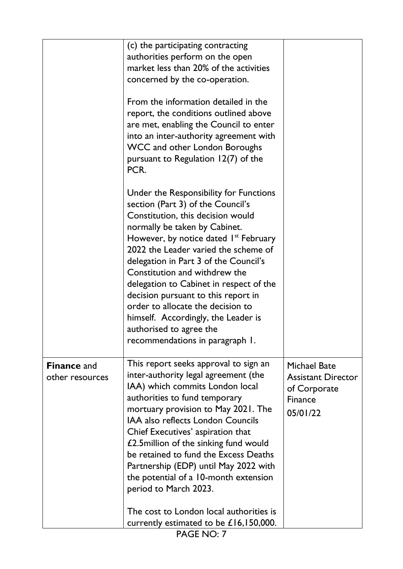|                                       | (c) the participating contracting<br>authorities perform on the open<br>market less than 20% of the activities<br>concerned by the co-operation.<br>From the information detailed in the<br>report, the conditions outlined above<br>are met, enabling the Council to enter<br>into an inter-authority agreement with<br><b>WCC and other London Boroughs</b><br>pursuant to Regulation 12(7) of the<br>PCR.                                                                                                                                             |                                                                                                |
|---------------------------------------|----------------------------------------------------------------------------------------------------------------------------------------------------------------------------------------------------------------------------------------------------------------------------------------------------------------------------------------------------------------------------------------------------------------------------------------------------------------------------------------------------------------------------------------------------------|------------------------------------------------------------------------------------------------|
|                                       | Under the Responsibility for Functions<br>section (Part 3) of the Council's<br>Constitution, this decision would<br>normally be taken by Cabinet.<br>However, by notice dated $Ist$ February<br>2022 the Leader varied the scheme of<br>delegation in Part 3 of the Council's<br>Constitution and withdrew the<br>delegation to Cabinet in respect of the<br>decision pursuant to this report in<br>order to allocate the decision to<br>himself. Accordingly, the Leader is<br>authorised to agree the<br>recommendations in paragraph 1.               |                                                                                                |
| <b>Finance and</b><br>other resources | This report seeks approval to sign an<br>inter-authority legal agreement (the<br>IAA) which commits London local<br>authorities to fund temporary<br>mortuary provision to May 2021. The<br>IAA also reflects London Councils<br>Chief Executives' aspiration that<br>£2.5 million of the sinking fund would<br>be retained to fund the Excess Deaths<br>Partnership (EDP) until May 2022 with<br>the potential of a 10-month extension<br>period to March 2023.<br>The cost to London local authorities is<br>currently estimated to be $£16,150,000$ . | <b>Michael Bate</b><br><b>Assistant Director</b><br>of Corporate<br><b>Finance</b><br>05/01/22 |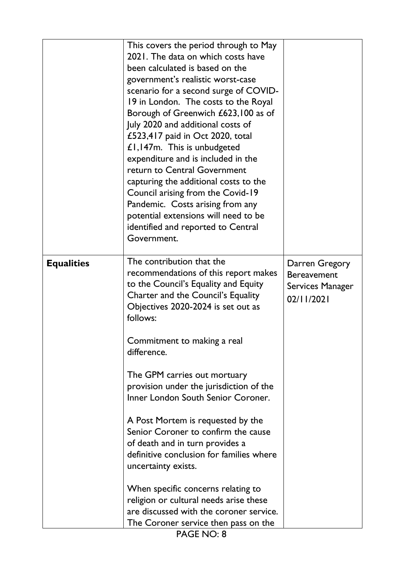|                   | This covers the period through to May<br>2021. The data on which costs have<br>been calculated is based on the<br>government's realistic worst-case<br>scenario for a second surge of COVID-<br>19 in London. The costs to the Royal<br>Borough of Greenwich £623,100 as of<br>July 2020 and additional costs of<br>£523,417 paid in Oct 2020, total<br>£1,147m. This is unbudgeted<br>expenditure and is included in the<br>return to Central Government<br>capturing the additional costs to the<br>Council arising from the Covid-19<br>Pandemic. Costs arising from any<br>potential extensions will need to be<br>identified and reported to Central<br>Government.                                              |                                                                        |
|-------------------|-----------------------------------------------------------------------------------------------------------------------------------------------------------------------------------------------------------------------------------------------------------------------------------------------------------------------------------------------------------------------------------------------------------------------------------------------------------------------------------------------------------------------------------------------------------------------------------------------------------------------------------------------------------------------------------------------------------------------|------------------------------------------------------------------------|
| <b>Equalities</b> | The contribution that the<br>recommendations of this report makes<br>to the Council's Equality and Equity<br>Charter and the Council's Equality<br>Objectives 2020-2024 is set out as<br>follows:<br>Commitment to making a real<br>difference.<br>The GPM carries out mortuary<br>provision under the jurisdiction of the<br>Inner London South Senior Coroner.<br>A Post Mortem is requested by the<br>Senior Coroner to confirm the cause<br>of death and in turn provides a<br>definitive conclusion for families where<br>uncertainty exists.<br>When specific concerns relating to<br>religion or cultural needs arise these<br>are discussed with the coroner service.<br>The Coroner service then pass on the | Darren Gregory<br><b>Bereavement</b><br>Services Manager<br>02/11/2021 |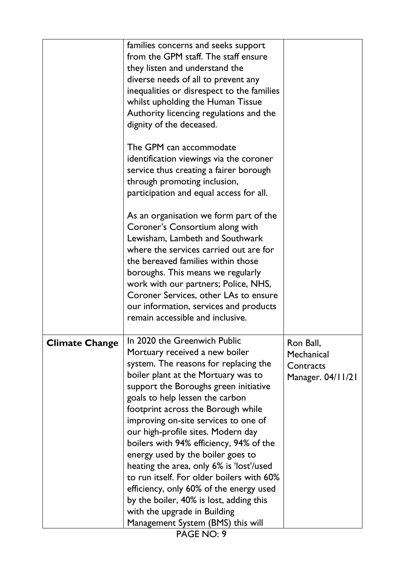|                       | families concerns and seeks support        |                   |
|-----------------------|--------------------------------------------|-------------------|
|                       | from the GPM staff. The staff ensure       |                   |
|                       | they listen and understand the             |                   |
|                       | diverse needs of all to prevent any        |                   |
|                       | inequalities or disrespect to the families |                   |
|                       | whilst upholding the Human Tissue          |                   |
|                       | Authority licencing regulations and the    |                   |
|                       | dignity of the deceased.                   |                   |
|                       |                                            |                   |
|                       | The GPM can accommodate                    |                   |
|                       | identification viewings via the coroner    |                   |
|                       | service thus creating a fairer borough     |                   |
|                       | through promoting inclusion,               |                   |
|                       | participation and equal access for all.    |                   |
|                       |                                            |                   |
|                       | As an organisation we form part of the     |                   |
|                       | Coroner's Consortium along with            |                   |
|                       | Lewisham, Lambeth and Southwark            |                   |
|                       | where the services carried out are for     |                   |
|                       | the bereaved families within those         |                   |
|                       | boroughs. This means we regularly          |                   |
|                       | work with our partners; Police, NHS,       |                   |
|                       | Coroner Services, other LAs to ensure      |                   |
|                       | our information, services and products     |                   |
|                       | remain accessible and inclusive.           |                   |
|                       | In 2020 the Greenwich Public               |                   |
| <b>Climate Change</b> | Mortuary received a new boiler             | Ron Ball,         |
|                       | system. The reasons for replacing the      | Mechanical        |
|                       | boiler plant at the Mortuary was to        | Contracts         |
|                       | support the Boroughs green initiative      | Manager. 04/11/21 |
|                       | goals to help lessen the carbon            |                   |
|                       | footprint across the Borough while         |                   |
|                       | improving on-site services to one of       |                   |
|                       | our high-profile sites. Modern day         |                   |
|                       | boilers with 94% efficiency, 94% of the    |                   |
|                       | energy used by the boiler goes to          |                   |
|                       | heating the area, only 6% is 'lost'/used   |                   |
|                       | to run itself. For older boilers with 60%  |                   |
|                       | efficiency, only 60% of the energy used    |                   |
|                       | by the boiler, 40% is lost, adding this    |                   |
|                       | with the upgrade in Building               |                   |
|                       | Management System (BMS) this will          |                   |
|                       | PAGE NO: 9                                 |                   |